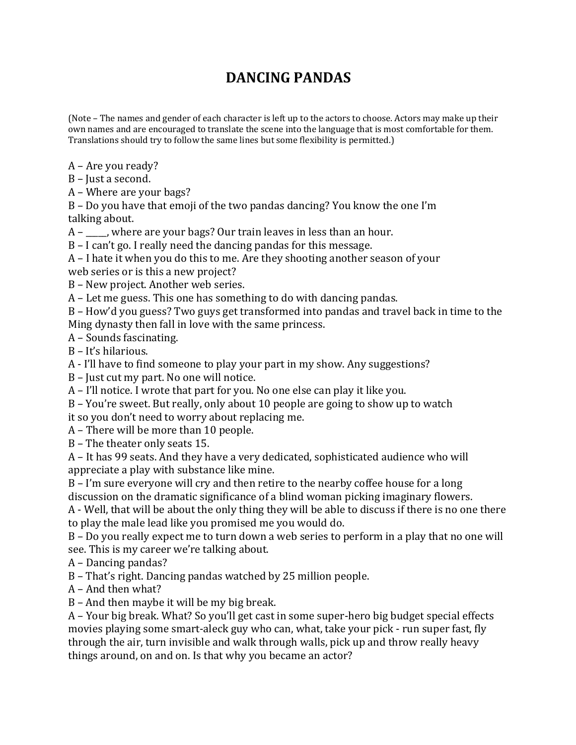## **DANCING PANDAS**

(Note - The names and gender of each character is left up to the actors to choose. Actors may make up their own names and are encouraged to translate the scene into the language that is most comfortable for them. Translations should try to follow the same lines but some flexibility is permitted.)

A – Are you ready?

 $B$  – Just a second.

A – Where are your bags?

 $B$  – Do you have that emoji of the two pandas dancing? You know the one I'm talking about.

 $A - \underline{\hspace{1cm}}$  where are your bags? Our train leaves in less than an hour.

 $B - I$  can't go. I really need the dancing pandas for this message.

 $A$  – I hate it when you do this to me. Are they shooting another season of your web series or is this a new project?

B – New project. Another web series.

 $A$  – Let me guess. This one has something to do with dancing pandas.

B – How'd you guess? Two guys get transformed into pandas and travel back in time to the Ming dynasty then fall in love with the same princess.

A – Sounds fascinating.

 $B - It's$  hilarious.

A - I'll have to find someone to play your part in my show. Any suggestions?

 $B$  – Just cut my part. No one will notice.

 $A$  – I'll notice. I wrote that part for you. No one else can play it like you.

B – You're sweet. But really, only about 10 people are going to show up to watch

it so you don't need to worry about replacing me.

 $A$  – There will be more than 10 people.

B – The theater only seats 15.

A - It has 99 seats. And they have a very dedicated, sophisticated audience who will appreciate a play with substance like mine.

 $B - I'm$  sure everyone will cry and then retire to the nearby coffee house for a long discussion on the dramatic significance of a blind woman picking imaginary flowers.

A - Well, that will be about the only thing they will be able to discuss if there is no one there to play the male lead like you promised me you would do.

 $B$  – Do you really expect me to turn down a web series to perform in a play that no one will see. This is my career we're talking about.

A – Dancing pandas?

B - That's right. Dancing pandas watched by 25 million people.

 $A$  – And then what?

 $B$  – And then maybe it will be my big break.

A - Your big break. What? So you'll get cast in some super-hero big budget special effects movies playing some smart-aleck guy who can, what, take your pick - run super fast, fly through the air, turn invisible and walk through walls, pick up and throw really heavy things around, on and on. Is that why you became an actor?